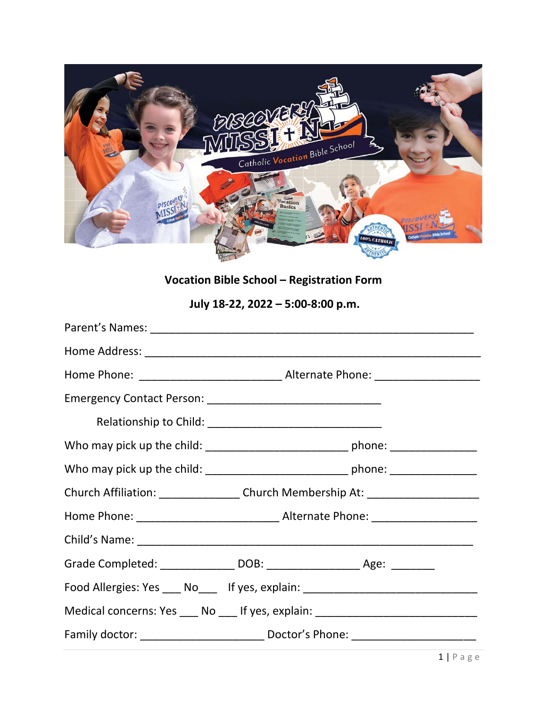

**Vocation Bible School – Registration Form**

**July 18-22, 2022 – 5:00-8:00 p.m.** 

| Church Affiliation: ___________________Church Membership At: ___________________ |
|----------------------------------------------------------------------------------|
|                                                                                  |
|                                                                                  |
| Grade Completed: _________________ DOB: ______________________ Age: ___________  |
| Food Allergies: Yes ____ No____ If yes, explain: _______________________________ |
| Medical concerns: Yes ____ No ____ If yes, explain: ____________________________ |
|                                                                                  |
|                                                                                  |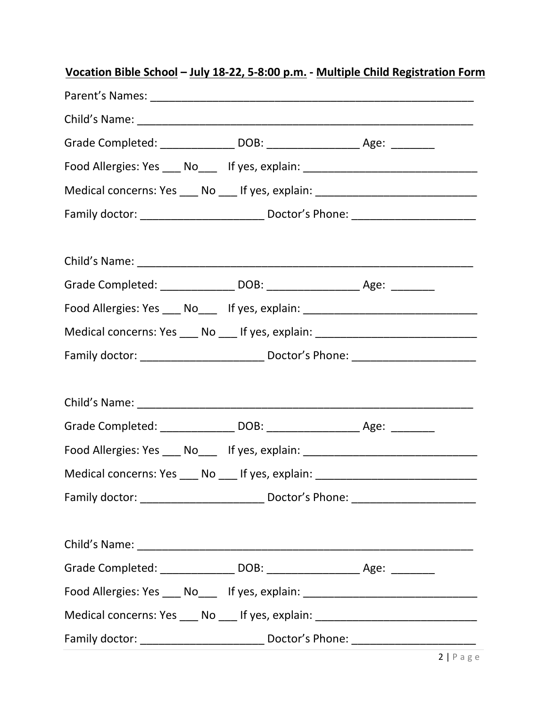| Vocation Bible School - July 18-22, 5-8:00 p.m. - Multiple Child Registration Form |  |
|------------------------------------------------------------------------------------|--|
|                                                                                    |  |
|                                                                                    |  |
| Grade Completed: _________________ DOB: _______________________ Age: __________    |  |
| Food Allergies: Yes ____ No____ If yes, explain: _______________________________   |  |
| Medical concerns: Yes ____ No ____ If yes, explain: ____________________________   |  |
|                                                                                    |  |
|                                                                                    |  |
| Grade Completed: _________________ DOB: ______________________ Age: ___________    |  |
| Food Allergies: Yes ___ No___ If yes, explain: _________________________________   |  |
| Medical concerns: Yes ____ No ____ If yes, explain: ____________________________   |  |
|                                                                                    |  |
|                                                                                    |  |
| Grade Completed: _________________ DOB: _______________________ Age: __________    |  |
| Food Allergies: Yes ___ No___ If yes, explain: _________________________________   |  |
| Medical concerns: Yes ____ No ____ If yes, explain: ____________________________   |  |
|                                                                                    |  |
|                                                                                    |  |
| Grade Completed: _________________ DOB: _______________________ Age: __________    |  |
| Food Allergies: Yes ____ No____ If yes, explain: _______________________________   |  |
| Medical concerns: Yes ____ No ____ If yes, explain: ____________________________   |  |
|                                                                                    |  |